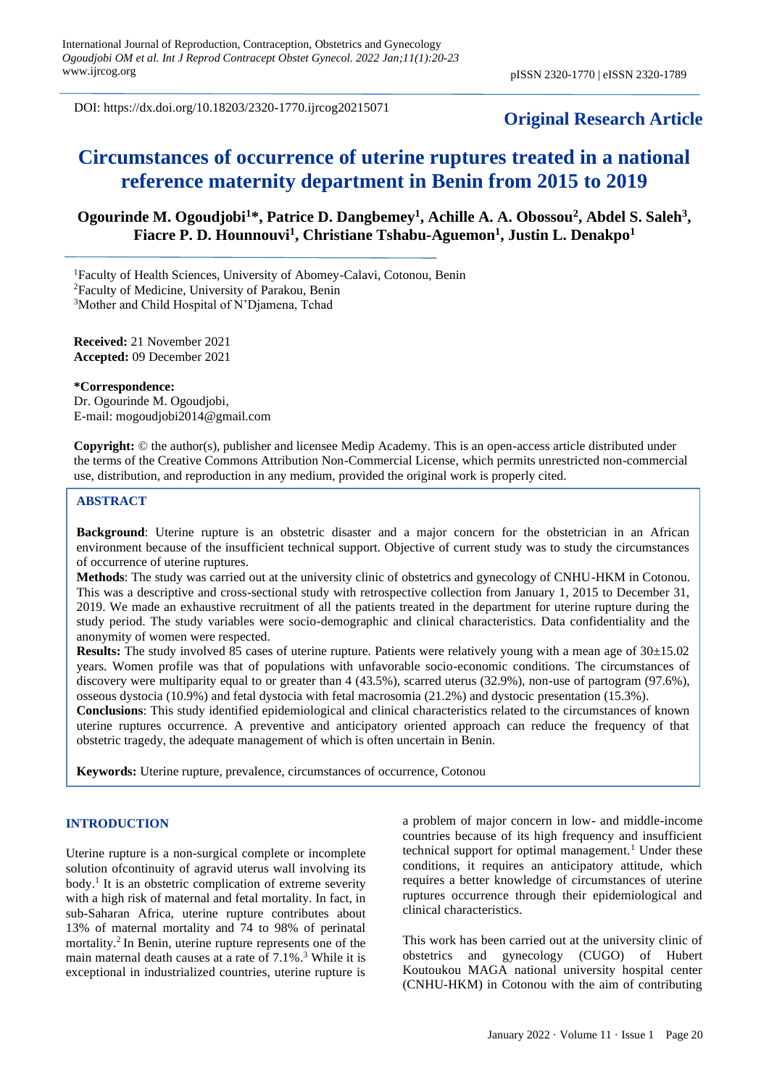DOI: https://dx.doi.org/10.18203/2320-1770.ijrcog20215071

# **Original Research Article**

# **Circumstances of occurrence of uterine ruptures treated in a national reference maternity department in Benin from 2015 to 2019**

# **Ogourinde M. Ogoudjobi<sup>1</sup>\*, Patrice D. Dangbemey<sup>1</sup> , Achille A. A. Obossou<sup>2</sup> , Abdel S. Saleh<sup>3</sup> , Fiacre P. D. Hounnouvi<sup>1</sup> , Christiane Tshabu-Aguemon<sup>1</sup> , Justin L. Denakpo<sup>1</sup>**

<sup>1</sup>Faculty of Health Sciences, University of Abomey-Calavi, Cotonou, Benin

<sup>2</sup>Faculty of Medicine, University of Parakou, Benin

<sup>3</sup>Mother and Child Hospital of N'Diamena, Tchad

**Received:** 21 November 2021 **Accepted:** 09 December 2021

#### **\*Correspondence:**

Dr. Ogourinde M. Ogoudjobi, E-mail: [mogoudjobi2014@gmail.com](mailto:mogoudjobi2014@gmail.com)

**Copyright:** © the author(s), publisher and licensee Medip Academy. This is an open-access article distributed under the terms of the Creative Commons Attribution Non-Commercial License, which permits unrestricted non-commercial use, distribution, and reproduction in any medium, provided the original work is properly cited.

# **ABSTRACT**

**Background**: Uterine rupture is an obstetric disaster and a major concern for the obstetrician in an African environment because of the insufficient technical support. Objective of current study was to study the circumstances of occurrence of uterine ruptures.

**Methods**: The study was carried out at the university clinic of obstetrics and gynecology of CNHU-HKM in Cotonou. This was a descriptive and cross-sectional study with retrospective collection from January 1, 2015 to December 31, 2019. We made an exhaustive recruitment of all the patients treated in the department for uterine rupture during the study period. The study variables were socio-demographic and clinical characteristics. Data confidentiality and the anonymity of women were respected.

**Results:** The study involved 85 cases of uterine rupture. Patients were relatively young with a mean age of 30±15.02 years. Women profile was that of populations with unfavorable socio-economic conditions. The circumstances of discovery were multiparity equal to or greater than 4 (43.5%), scarred uterus (32.9%), non-use of partogram (97.6%), osseous dystocia (10.9%) and fetal dystocia with fetal macrosomia (21.2%) and dystocic presentation (15.3%).

**Conclusions**: This study identified epidemiological and clinical characteristics related to the circumstances of known uterine ruptures occurrence. A preventive and anticipatory oriented approach can reduce the frequency of that obstetric tragedy, the adequate management of which is often uncertain in Benin.

**Keywords:** Uterine rupture, prevalence, circumstances of occurrence, Cotonou

#### **INTRODUCTION**

Uterine rupture is a non-surgical complete or incomplete solution ofcontinuity of agravid uterus wall involving its body.<sup>1</sup> It is an obstetric complication of extreme severity with a high risk of maternal and fetal mortality. In fact, in sub-Saharan Africa, uterine rupture contributes about 13% of maternal mortality and 74 to 98% of perinatal mortality.<sup>2</sup> In Benin, uterine rupture represents one of the main maternal death causes at a rate of 7.1%. <sup>3</sup> While it is exceptional in industrialized countries, uterine rupture is a problem of major concern in low- and middle-income countries because of its high frequency and insufficient technical support for optimal management.<sup>1</sup> Under these conditions, it requires an anticipatory attitude, which requires a better knowledge of circumstances of uterine ruptures occurrence through their epidemiological and clinical characteristics.

This work has been carried out at the university clinic of obstetrics and gynecology (CUGO) of Hubert Koutoukou MAGA national university hospital center (CNHU-HKM) in Cotonou with the aim of contributing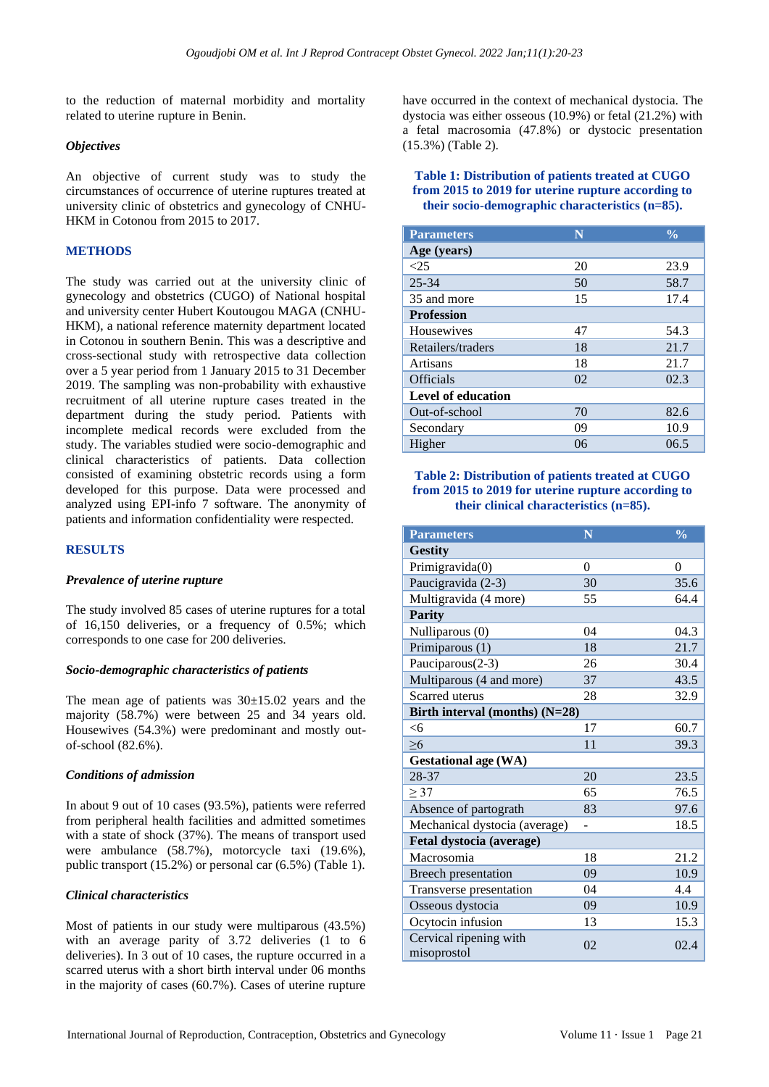to the reduction of maternal morbidity and mortality related to uterine rupture in Benin.

# *Objectives*

An objective of current study was to study the circumstances of occurrence of uterine ruptures treated at university clinic of obstetrics and gynecology of CNHU-HKM in Cotonou from 2015 to 2017.

# **METHODS**

The study was carried out at the university clinic of gynecology and obstetrics (CUGO) of National hospital and university center Hubert Koutougou MAGA (CNHU-HKM), a national reference maternity department located in Cotonou in southern Benin. This was a descriptive and cross-sectional study with retrospective data collection over a 5 year period from 1 January 2015 to 31 December 2019. The sampling was non-probability with exhaustive recruitment of all uterine rupture cases treated in the department during the study period. Patients with incomplete medical records were excluded from the study. The variables studied were socio-demographic and clinical characteristics of patients. Data collection consisted of examining obstetric records using a form developed for this purpose. Data were processed and analyzed using EPI-info 7 software. The anonymity of patients and information confidentiality were respected.

# **RESULTS**

#### *Prevalence of uterine rupture*

The study involved 85 cases of uterine ruptures for a total of 16,150 deliveries, or a frequency of 0.5%; which corresponds to one case for 200 deliveries.

## *Socio-demographic characteristics of patients*

The mean age of patients was  $30\pm15.02$  years and the majority (58.7%) were between 25 and 34 years old. Housewives (54.3%) were predominant and mostly outof-school (82.6%).

#### *Conditions of admission*

In about 9 out of 10 cases (93.5%), patients were referred from peripheral health facilities and admitted sometimes with a state of shock (37%). The means of transport used were ambulance (58.7%), motorcycle taxi (19.6%), public transport (15.2%) or personal car (6.5%) (Table 1).

# *Clinical characteristics*

Most of patients in our study were multiparous (43.5%) with an average parity of 3.72 deliveries (1 to 6 deliveries). In 3 out of 10 cases, the rupture occurred in a scarred uterus with a short birth interval under 06 months in the majority of cases (60.7%). Cases of uterine rupture

have occurred in the context of mechanical dystocia. The dystocia was either osseous (10.9%) or fetal (21.2%) with a fetal macrosomia (47.8%) or dystocic presentation (15.3%) (Table 2).

# **Table 1: Distribution of patients treated at CUGO from 2015 to 2019 for uterine rupture according to their socio-demographic characteristics (n=85).**

| <b>Parameters</b>         | N  | $\frac{0}{0}$ |
|---------------------------|----|---------------|
| Age (years)               |    |               |
| <25                       | 20 | 23.9          |
| $25 - 34$                 | 50 | 58.7          |
| 35 and more               | 15 | 17.4          |
| <b>Profession</b>         |    |               |
| Housewives                | 47 | 54.3          |
| Retailers/traders         | 18 | 21.7          |
| Artisans                  | 18 | 21.7          |
| <b>Officials</b>          | 02 | 02.3          |
| <b>Level of education</b> |    |               |
| Out-of-school             | 70 | 82.6          |
| Secondary                 | 09 | 10.9          |
| Higher                    | 06 | 06.5          |

# **Table 2: Distribution of patients treated at CUGO from 2015 to 2019 for uterine rupture according to their clinical characteristics (n=85).**

| <b>Parameters</b>                     | N        | $\frac{0}{0}$ |
|---------------------------------------|----------|---------------|
| <b>Gestity</b>                        |          |               |
| Primigravida(0)                       | $\Omega$ | $\Omega$      |
| Paucigravida (2-3)                    | 30       | 35.6          |
| Multigravida (4 more)                 | 55       | 64.4          |
| <b>Parity</b>                         |          |               |
| Nulliparous (0)                       | 04       | 04.3          |
| Primiparous (1)                       | 18       | 21.7          |
| Pauciparous(2-3)                      | 26       | 30.4          |
| Multiparous (4 and more)              | 37       | 43.5          |
| Scarred uterus                        | 28       | 32.9          |
| Birth interval (months) (N=28)        |          |               |
| <6                                    | 17       | 60.7          |
| $\geq 6$                              | 11       | 39.3          |
| <b>Gestational age (WA)</b>           |          |               |
| 28-37                                 | 20       | 23.5          |
| > 37                                  | 65       | 76.5          |
| Absence of partograth                 | 83       | 97.6          |
| Mechanical dystocia (average)         |          | 18.5          |
| Fetal dystocia (average)              |          |               |
| Macrosomia                            | 18       | 21.2          |
| Breech presentation                   | 09       | 10.9          |
| Transverse presentation               | 04       | 4.4           |
| Osseous dystocia                      | 09       | 10.9          |
| Ocytocin infusion                     | 13       | 15.3          |
| Cervical ripening with<br>misoprostol | 02       | 02.4          |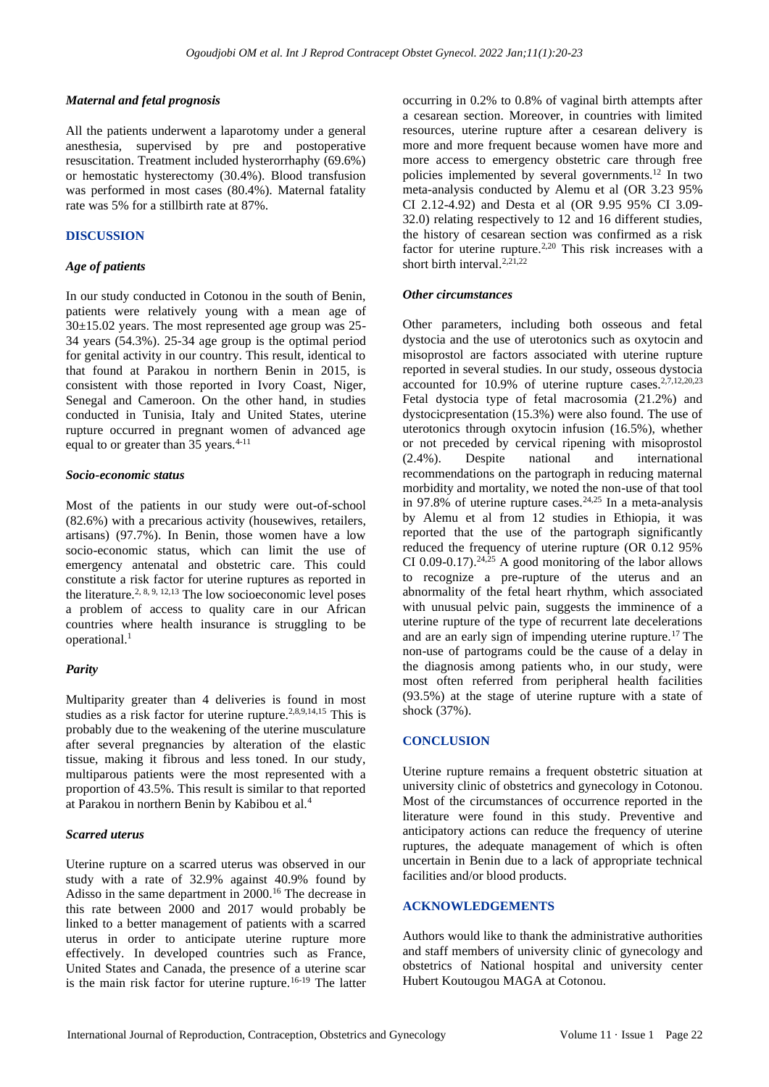#### *Maternal and fetal prognosis*

All the patients underwent a laparotomy under a general anesthesia, supervised by pre and postoperative resuscitation. Treatment included hysterorrhaphy (69.6%) or hemostatic hysterectomy (30.4%). Blood transfusion was performed in most cases (80.4%). Maternal fatality rate was 5% for a stillbirth rate at 87%.

#### **DISCUSSION**

#### *Age of patients*

In our study conducted in Cotonou in the south of Benin, patients were relatively young with a mean age of  $30\pm15.02$  years. The most represented age group was 25-34 years (54.3%). 25-34 age group is the optimal period for genital activity in our country. This result, identical to that found at Parakou in northern Benin in 2015, is consistent with those reported in Ivory Coast, Niger, Senegal and Cameroon. On the other hand, in studies conducted in Tunisia, Italy and United States, uterine rupture occurred in pregnant women of advanced age equal to or greater than  $35$  years.<sup>4-11</sup>

#### *Socio-economic status*

Most of the patients in our study were out-of-school (82.6%) with a precarious activity (housewives, retailers, artisans) (97.7%). In Benin, those women have a low socio-economic status, which can limit the use of emergency antenatal and obstetric care. This could constitute a risk factor for uterine ruptures as reported in the literature.<sup>2, 8, 9, 12, 13</sup> The low socioeconomic level poses a problem of access to quality care in our African countries where health insurance is struggling to be operational.<sup>1</sup>

# *Parity*

Multiparity greater than 4 deliveries is found in most studies as a risk factor for uterine rupture.<sup>2,8,9,14,15</sup> This is probably due to the weakening of the uterine musculature after several pregnancies by alteration of the elastic tissue, making it fibrous and less toned. In our study, multiparous patients were the most represented with a proportion of 43.5%. This result is similar to that reported at Parakou in northern Benin by Kabibou et al.<sup>4</sup>

# *Scarred uterus*

Uterine rupture on a scarred uterus was observed in our study with a rate of 32.9% against 40.9% found by Adisso in the same department in 2000.<sup>16</sup> The decrease in this rate between 2000 and 2017 would probably be linked to a better management of patients with a scarred uterus in order to anticipate uterine rupture more effectively. In developed countries such as France, United States and Canada, the presence of a uterine scar is the main risk factor for uterine rupture.<sup>16-19</sup> The latter occurring in 0.2% to 0.8% of vaginal birth attempts after a cesarean section. Moreover, in countries with limited resources, uterine rupture after a cesarean delivery is more and more frequent because women have more and more access to emergency obstetric care through free policies implemented by several governments. <sup>12</sup> In two meta-analysis conducted by Alemu et al (OR 3.23 95% CI 2.12-4.92) and Desta et al (OR 9.95 95% CI 3.09- 32.0) relating respectively to 12 and 16 different studies, the history of cesarean section was confirmed as a risk factor for uterine rupture.<sup>2,20</sup> This risk increases with a short birth interval.<sup>2,21,22</sup>

#### *Other circumstances*

Other parameters, including both osseous and fetal dystocia and the use of uterotonics such as oxytocin and misoprostol are factors associated with uterine rupture reported in several studies. In our study, osseous dystocia accounted for  $10.9\%$  of uterine rupture cases.<sup>2,7,12,20,23</sup> Fetal dystocia type of fetal macrosomia (21.2%) and dystocicpresentation (15.3%) were also found. The use of uterotonics through oxytocin infusion (16.5%), whether or not preceded by cervical ripening with misoprostol (2.4%). Despite national and international recommendations on the partograph in reducing maternal morbidity and mortality, we noted the non-use of that tool in 97.8% of uterine rupture cases.<sup>24,25</sup> In a meta-analysis by Alemu et al from 12 studies in Ethiopia, it was reported that the use of the partograph significantly reduced the frequency of uterine rupture (OR 0.12 95% CI 0.09-0.17).<sup>24,25</sup> A good monitoring of the labor allows to recognize a pre-rupture of the uterus and an abnormality of the fetal heart rhythm, which associated with unusual pelvic pain, suggests the imminence of a uterine rupture of the type of recurrent late decelerations and are an early sign of impending uterine rupture.<sup>17</sup> The non-use of partograms could be the cause of a delay in the diagnosis among patients who, in our study, were most often referred from peripheral health facilities (93.5%) at the stage of uterine rupture with a state of shock (37%).

# **CONCLUSION**

Uterine rupture remains a frequent obstetric situation at university clinic of obstetrics and gynecology in Cotonou. Most of the circumstances of occurrence reported in the literature were found in this study. Preventive and anticipatory actions can reduce the frequency of uterine ruptures, the adequate management of which is often uncertain in Benin due to a lack of appropriate technical facilities and/or blood products.

# **ACKNOWLEDGEMENTS**

Authors would like to thank the administrative authorities and staff members of university clinic of gynecology and obstetrics of National hospital and university center Hubert Koutougou MAGA at Cotonou.